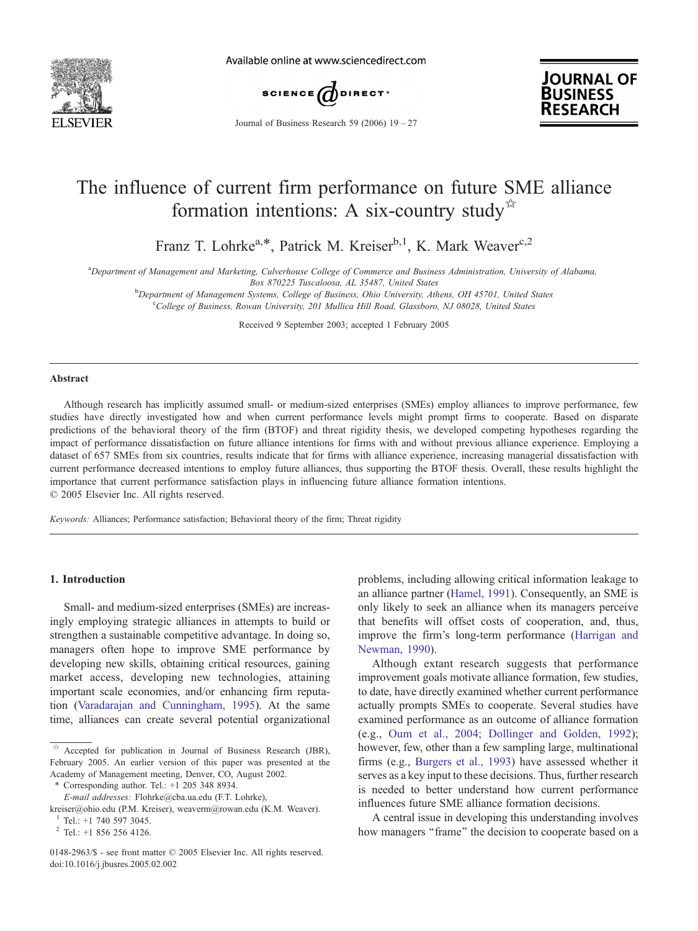

Available online at www.sciencedirect.com



**JOURNAL OF BUSINESS RESEARCH** 

Journal of Business Research 59 (2006)  $19 - 27$ 

## The influence of current firm performance on future SME alliance formation intentions: A six-country study $\overrightarrow{B}$

Franz T. Lohrke<sup>a,\*</sup>, Patrick M. Kreiser<sup>b,1</sup>, K. Mark Weaver<sup>c,2</sup>

a Department of Management and Marketing, Culverhouse College of Commerce and Business Administration, University of Alabama,

Box 870225 Tuscaloosa, AL 35487, United States

**b** Department of Management Systems, College of Business, Ohio University, Athens, OH 45701, United States contraction of Business, Bowen University, 201 Mullica Hill Boad Glassboro, NJ 08028, United States College of Business, Rowan University, 201 Mullica Hill Road, Glassboro, NJ 08028, United States

Received 9 September 2003; accepted 1 February 2005

#### Abstract

Although research has implicitly assumed small- or medium-sized enterprises (SMEs) employ alliances to improve performance, few studies have directly investigated how and when current performance levels might prompt firms to cooperate. Based on disparate predictions of the behavioral theory of the firm (BTOF) and threat rigidity thesis, we developed competing hypotheses regarding the impact of performance dissatisfaction on future alliance intentions for firms with and without previous alliance experience. Employing a dataset of 657 SMEs from six countries, results indicate that for firms with alliance experience, increasing managerial dissatisfaction with current performance decreased intentions to employ future alliances, thus supporting the BTOF thesis. Overall, these results highlight the importance that current performance satisfaction plays in influencing future alliance formation intentions.  $© 2005 Elsevier Inc. All rights reserved.$ 

Keywords: Alliances; Performance satisfaction; Behavioral theory of the firm; Threat rigidity

### 1. Introduction

Small- and medium-sized enterprises (SMEs) are increasingly employing strategic alliances in attempts to build or strengthen a sustainable competitive advantage. In doing so, managers often hope to improve SME performance by developing new skills, obtaining critical resources, gaining market access, developing new technologies, attaining important scale economies, and/or enhancing firm reputation ([Varadarajan and Cunningham, 1995\)](#page--1-0). At the same time, alliances can create several potential organizational

 $*$  Corresponding author. Tel.:  $+1$  205 348 8934.

E-mail addresses: Flohrke@cba.ua.edu (F.T. Lohrke),

problems, including allowing critical information leakage to an alliance partner ([Hamel, 1991\)](#page--1-0). Consequently, an SME is only likely to seek an alliance when its managers perceive that benefits will offset costs of cooperation, and, thus, improve the firm's long-term performance ([Harrigan and](#page--1-0) Newman, 1990).

Although extant research suggests that performance improvement goals motivate alliance formation, few studies, to date, have directly examined whether current performance actually prompts SMEs to cooperate. Several studies have examined performance as an outcome of alliance formation (e.g., [Oum et al., 2004; Dollinger and Golden, 1992\)](#page--1-0); however, few, other than a few sampling large, multinational firms (e.g., [Burgers et al., 1993\)](#page--1-0) have assessed whether it serves as a key input to these decisions. Thus, further research is needed to better understand how current performance influences future SME alliance formation decisions.

A central issue in developing this understanding involves how managers "frame" the decision to cooperate based on a

 $\overrightarrow{a}$  Accepted for publication in Journal of Business Research (JBR), February 2005. An earlier version of this paper was presented at the Academy of Management meeting, Denver, CO, August 2002.

kreiser@ohio.edu (P.M. Kreiser), weaverm@rowan.edu (K.M. Weaver).

<sup>1</sup> Tel.: +1 740 597 3045.

 $2$  Tel.: +1 856 256 4126.

<sup>0148-2963/\$ -</sup> see front matter  $\odot$  2005 Elsevier Inc. All rights reserved. doi:10.1016/j.jbusres.2005.02.002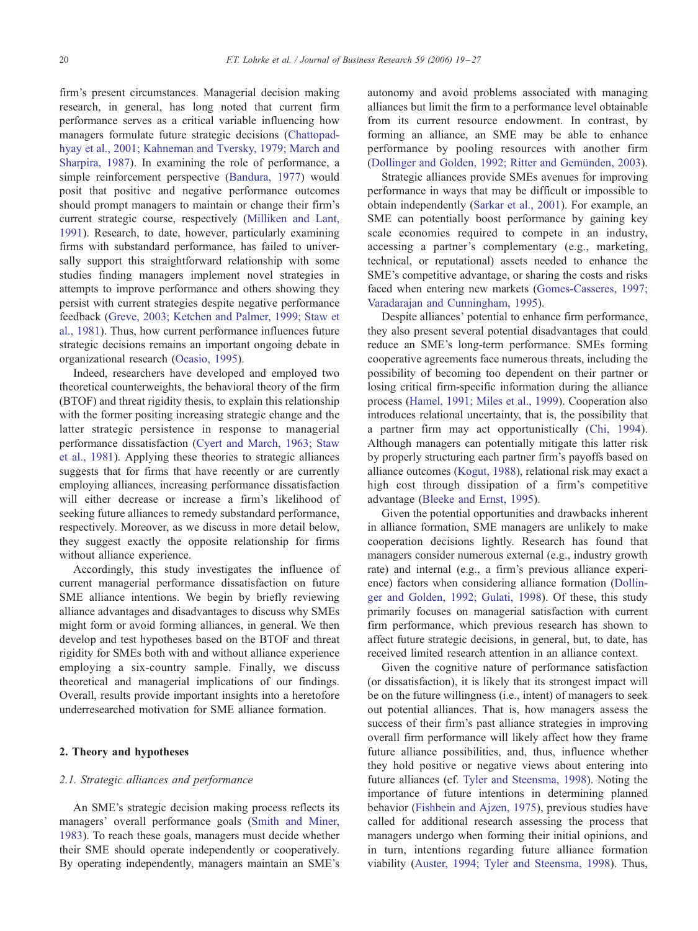firm's present circumstances. Managerial decision making research, in general, has long noted that current firm performance serves as a critical variable influencing how managers formulate future strategic decisions ([Chattopad](#page--1-0)hyay et al., 2001; Kahneman and Tversky, 1979; March and Sharpira, 1987). In examining the role of performance, a simple reinforcement perspective [\(Bandura, 1977](#page--1-0)) would posit that positive and negative performance outcomes should prompt managers to maintain or change their firm's current strategic course, respectively ([Milliken and Lant,](#page--1-0) 1991). Research, to date, however, particularly examining firms with substandard performance, has failed to universally support this straightforward relationship with some studies finding managers implement novel strategies in attempts to improve performance and others showing they persist with current strategies despite negative performance feedback [\(Greve, 2003; Ketchen and Palmer, 1999; Staw et](#page--1-0) al., 1981). Thus, how current performance influences future strategic decisions remains an important ongoing debate in organizational research ([Ocasio, 1995\)](#page--1-0).

Indeed, researchers have developed and employed two theoretical counterweights, the behavioral theory of the firm (BTOF) and threat rigidity thesis, to explain this relationship with the former positing increasing strategic change and the latter strategic persistence in response to managerial performance dissatisfaction [\(Cyert and March, 1963; Staw](#page--1-0) et al., 1981). Applying these theories to strategic alliances suggests that for firms that have recently or are currently employing alliances, increasing performance dissatisfaction will either decrease or increase a firm's likelihood of seeking future alliances to remedy substandard performance, respectively. Moreover, as we discuss in more detail below, they suggest exactly the opposite relationship for firms without alliance experience.

Accordingly, this study investigates the influence of current managerial performance dissatisfaction on future SME alliance intentions. We begin by briefly reviewing alliance advantages and disadvantages to discuss why SMEs might form or avoid forming alliances, in general. We then develop and test hypotheses based on the BTOF and threat rigidity for SMEs both with and without alliance experience employing a six-country sample. Finally, we discuss theoretical and managerial implications of our findings. Overall, results provide important insights into a heretofore underresearched motivation for SME alliance formation.

## 2. Theory and hypotheses

### 2.1. Strategic alliances and performance

An SME's strategic decision making process reflects its managers' overall performance goals ([Smith and Miner,](#page--1-0) 1983). To reach these goals, managers must decide whether their SME should operate independently or cooperatively. By operating independently, managers maintain an SME's

autonomy and avoid problems associated with managing alliances but limit the firm to a performance level obtainable from its current resource endowment. In contrast, by forming an alliance, an SME may be able to enhance performance by pooling resources with another firm (Dollinger and Golden, 1992; Ritter and Gemünden, 2003).

Strategic alliances provide SMEs avenues for improving performance in ways that may be difficult or impossible to obtain independently ([Sarkar et al., 2001\)](#page--1-0). For example, an SME can potentially boost performance by gaining key scale economies required to compete in an industry, accessing a partner's complementary (e.g., marketing, technical, or reputational) assets needed to enhance the SME's competitive advantage, or sharing the costs and risks faced when entering new markets ([Gomes-Casseres, 1997;](#page--1-0) Varadarajan and Cunningham, 1995).

Despite alliances' potential to enhance firm performance, they also present several potential disadvantages that could reduce an SME's long-term performance. SMEs forming cooperative agreements face numerous threats, including the possibility of becoming too dependent on their partner or losing critical firm-specific information during the alliance process [\(Hamel, 1991; Miles et al., 1999\)](#page--1-0). Cooperation also introduces relational uncertainty, that is, the possibility that a partner firm may act opportunistically [\(Chi, 1994](#page--1-0)). Although managers can potentially mitigate this latter risk by properly structuring each partner firm's payoffs based on alliance outcomes [\(Kogut, 1988](#page--1-0)), relational risk may exact a high cost through dissipation of a firm's competitive advantage ([Bleeke and Ernst, 1995\)](#page--1-0).

Given the potential opportunities and drawbacks inherent in alliance formation, SME managers are unlikely to make cooperation decisions lightly. Research has found that managers consider numerous external (e.g., industry growth rate) and internal (e.g., a firm's previous alliance experience) factors when considering alliance formation [\(Dollin](#page--1-0)ger and Golden, 1992; Gulati, 1998). Of these, this study primarily focuses on managerial satisfaction with current firm performance, which previous research has shown to affect future strategic decisions, in general, but, to date, has received limited research attention in an alliance context.

Given the cognitive nature of performance satisfaction (or dissatisfaction), it is likely that its strongest impact will be on the future willingness (i.e., intent) of managers to seek out potential alliances. That is, how managers assess the success of their firm's past alliance strategies in improving overall firm performance will likely affect how they frame future alliance possibilities, and, thus, influence whether they hold positive or negative views about entering into future alliances (cf. [Tyler and Steensma, 1998](#page--1-0)). Noting the importance of future intentions in determining planned behavior ([Fishbein and Ajzen, 1975\)](#page--1-0), previous studies have called for additional research assessing the process that managers undergo when forming their initial opinions, and in turn, intentions regarding future alliance formation viability ([Auster, 1994; Tyler and Steensma, 1998\)](#page--1-0). Thus,